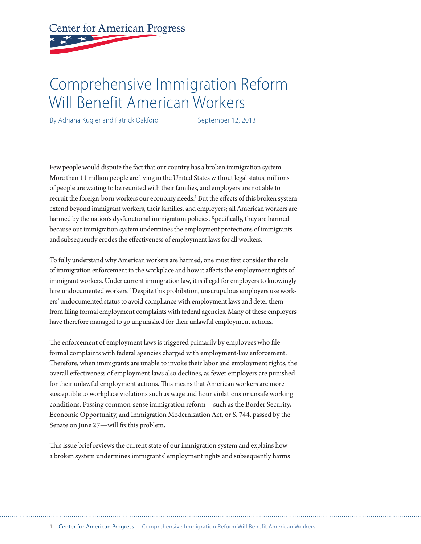**Center for American Progress** 

# Comprehensive Immigration Reform Will Benefit American Workers

By Adriana Kugler and Patrick Oakford September 12, 2013

Few people would dispute the fact that our country has a broken immigration system. More than 11 million people are living in the United States without legal status, millions of people are waiting to be reunited with their families, and employers are not able to recruit the foreign-born workers our economy needs.<sup>1</sup> But the effects of this broken system extend beyond immigrant workers, their families, and employers; all American workers are harmed by the nation's dysfunctional immigration policies. Specifically, they are harmed because our immigration system undermines the employment protections of immigrants and subsequently erodes the effectiveness of employment laws for all workers.

To fully understand why American workers are harmed, one must first consider the role of immigration enforcement in the workplace and how it affects the employment rights of immigrant workers. Under current immigration law, it is illegal for employers to knowingly hire undocumented workers.<sup>2</sup> Despite this prohibition, unscrupulous employers use workers' undocumented status to avoid compliance with employment laws and deter them from filing formal employment complaints with federal agencies. Many of these employers have therefore managed to go unpunished for their unlawful employment actions.

The enforcement of employment laws is triggered primarily by employees who file formal complaints with federal agencies charged with employment-law enforcement. Therefore, when immigrants are unable to invoke their labor and employment rights, the overall effectiveness of employment laws also declines, as fewer employers are punished for their unlawful employment actions. This means that American workers are more susceptible to workplace violations such as wage and hour violations or unsafe working conditions. Passing common-sense immigration reform—such as the Border Security, Economic Opportunity, and Immigration Modernization Act, or S. 744, passed by the Senate on June 27—will fix this problem.

This issue brief reviews the current state of our immigration system and explains how a broken system undermines immigrants' employment rights and subsequently harms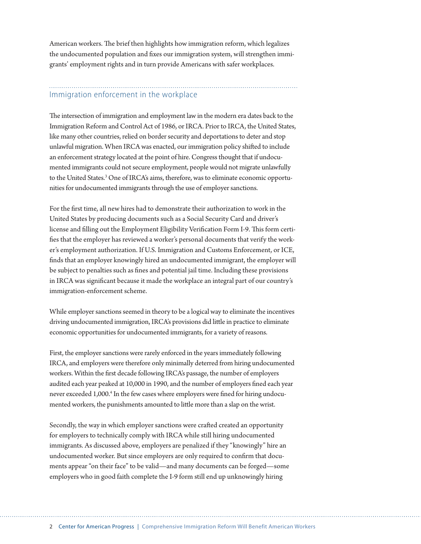American workers. The brief then highlights how immigration reform, which legalizes the undocumented population and fixes our immigration system, will strengthen immigrants' employment rights and in turn provide Americans with safer workplaces.

## Immigration enforcement in the workplace

The intersection of immigration and employment law in the modern era dates back to the Immigration Reform and Control Act of 1986, or IRCA. Prior to IRCA, the United States, like many other countries, relied on border security and deportations to deter and stop unlawful migration. When IRCA was enacted, our immigration policy shifted to include an enforcement strategy located at the point of hire. Congress thought that if undocumented immigrants could not secure employment, people would not migrate unlawfully to the United States.<sup>3</sup> One of IRCA's aims, therefore, was to eliminate economic opportunities for undocumented immigrants through the use of employer sanctions.

For the first time, all new hires had to demonstrate their authorization to work in the United States by producing documents such as a Social Security Card and driver's license and filling out the Employment Eligibility Verification Form I-9. This form certifies that the employer has reviewed a worker's personal documents that verify the worker's employment authorization. If U.S. Immigration and Customs Enforcement, or ICE, finds that an employer knowingly hired an undocumented immigrant, the employer will be subject to penalties such as fines and potential jail time. Including these provisions in IRCA was significant because it made the workplace an integral part of our country's immigration-enforcement scheme.

While employer sanctions seemed in theory to be a logical way to eliminate the incentives driving undocumented immigration, IRCA's provisions did little in practice to eliminate economic opportunities for undocumented immigrants, for a variety of reasons.

First, the employer sanctions were rarely enforced in the years immediately following IRCA, and employers were therefore only minimally deterred from hiring undocumented workers. Within the first decade following IRCA's passage, the number of employers audited each year peaked at 10,000 in 1990, and the number of employers fined each year never exceeded 1,000.<sup>4</sup> In the few cases where employers were fined for hiring undocumented workers, the punishments amounted to little more than a slap on the wrist.

Secondly, the way in which employer sanctions were crafted created an opportunity for employers to technically comply with IRCA while still hiring undocumented immigrants. As discussed above, employers are penalized if they "knowingly" hire an undocumented worker. But since employers are only required to confirm that documents appear "on their face" to be valid—and many documents can be forged—some employers who in good faith complete the I-9 form still end up unknowingly hiring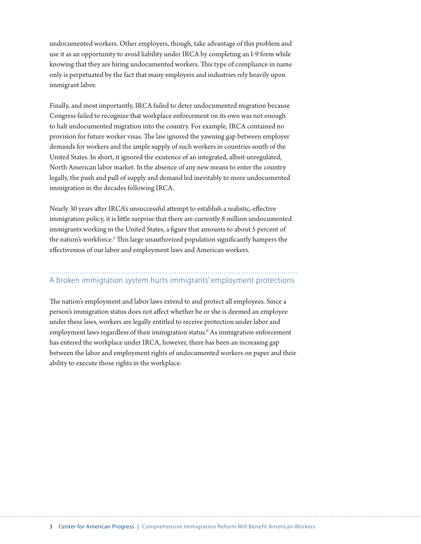undocumented workers. Other employers, though, take advantage of this problem and use it as an opportunity to avoid liability under IRCA by completing an I-9 form while knowing that they are hiring undocumented workers. This type of compliance in name only is perpetuated by the fact that many employers and industries rely heavily upon immigrant labor.

Finally, and most importantly, IRCA failed to deter undocumented migration because Congress failed to recognize that workplace enforcement on its own was not enough to halt undocumented migration into the country. For example, IRCA contained no provision for future worker visas. The law ignored the yawning gap between employer demands for workers and the ample supply of such workers in countries south of the United States. In short, it ignored the existence of an integrated, albeit unregulated, North American labor market. In the absence of any new means to enter the country legally, the push and pull of supply and demand led inevitably to more undocumented immigration in the decades following IRCA.

Nearly 30 years after IRCA's unsuccessful attempt to establish a realistic, effective immigration policy, it is little surprise that there are currently 8 million undocumented immigrants working in the United States, a figure that amounts to about 5 percent of the nation's workforce.<sup>5</sup> This large unauthorized population significantly hampers the effectiveness of our labor and employment laws and American workers.

## A broken immigration system hurts immigrants' employment protections

The nation's employment and labor laws extend to and protect all employees. Since a person's immigration status does not affect whether he or she is deemed an employee under these laws, workers are legally entitled to receive protection under labor and employment laws regardless of their immigration status.<sup>6</sup> As immigration enforcement has entered the workplace under IRCA, however, there has been an increasing gap between the labor and employment rights of undocumented workers on paper and their ability to execute those rights in the workplace.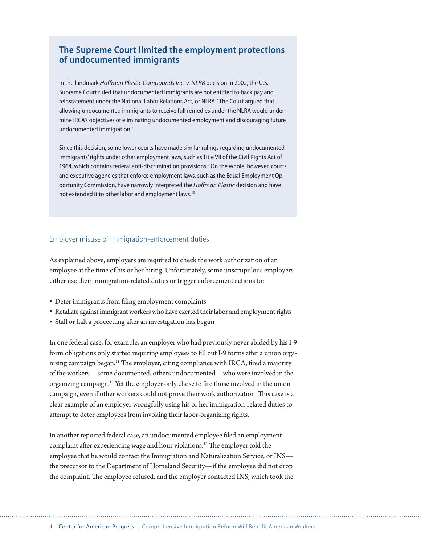### **The Supreme Court limited the employment protections of undocumented immigrants**

In the landmark *Hoffman Plastic Compounds Inc. v. NLRB* decision in 2002, the U.S. Supreme Court ruled that undocumented immigrants are not entitled to back pay and reinstatement under the National Labor Relations Act, or NLRA.<sup>7</sup> The Court argued that allowing undocumented immigrants to receive full remedies under the NLRA would undermine IRCA's objectives of eliminating undocumented employment and discouraging future undocumented immigration.<sup>8</sup>

Since this decision, some lower courts have made similar rulings regarding undocumented immigrants' rights under other employment laws, such as Title VII of the Civil Rights Act of 1964, which contains federal anti-discrimination provisions.<sup>9</sup> On the whole, however, courts and executive agencies that enforce employment laws, such as the Equal Employment Opportunity Commission, have narrowly interpreted the *Hoffman Plastic* decision and have not extended it to other labor and employment laws.10

#### Employer misuse of immigration-enforcement duties

As explained above, employers are required to check the work authorization of an employee at the time of his or her hiring. Unfortunately, some unscrupulous employers either use their immigration-related duties or trigger enforcement actions to:

- Deter immigrants from filing employment complaints
- Retaliate against immigrant workers who have exerted their labor and employment rights
- Stall or halt a proceeding after an investigation has begun

In one federal case, for example, an employer who had previously never abided by his I-9 form obligations only started requiring employees to fill out I-9 forms after a union organizing campaign began.11 The employer, citing compliance with IRCA, fired a majority of the workers—some documented, others undocumented—who were involved in the organizing campaign.12 Yet the employer only chose to fire those involved in the union campaign, even if other workers could not prove their work authorization. This case is a clear example of an employer wrongfully using his or her immigration-related duties to attempt to deter employees from invoking their labor-organizing rights.

In another reported federal case, an undocumented employee filed an employment complaint after experiencing wage and hour violations.<sup>13</sup> The employer told the employee that he would contact the Immigration and Naturalization Service, or INS the precursor to the Department of Homeland Security—if the employee did not drop the complaint. The employee refused, and the employer contacted INS, which took the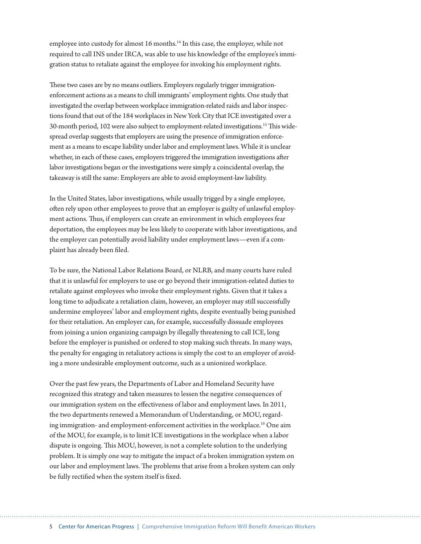employee into custody for almost 16 months.<sup>14</sup> In this case, the employer, while not required to call INS under IRCA, was able to use his knowledge of the employee's immigration status to retaliate against the employee for invoking his employment rights.

These two cases are by no means outliers. Employers regularly trigger immigrationenforcement actions as a means to chill immigrants' employment rights. One study that investigated the overlap between workplace immigration-related raids and labor inspections found that out of the 184 workplaces in New York City that ICE investigated over a 30-month period, 102 were also subject to employment-related investigations.15 This widespread overlap suggests that employers are using the presence of immigration enforcement as a means to escape liability under labor and employment laws. While it is unclear whether, in each of these cases, employers triggered the immigration investigations after labor investigations began or the investigations were simply a coincidental overlap, the takeaway is still the same: Employers are able to avoid employment-law liability.

In the United States, labor investigations, while usually trigged by a single employee, often rely upon other employees to prove that an employer is guilty of unlawful employment actions. Thus, if employers can create an environment in which employees fear deportation, the employees may be less likely to cooperate with labor investigations, and the employer can potentially avoid liability under employment laws—even if a complaint has already been filed.

To be sure, the National Labor Relations Board, or NLRB, and many courts have ruled that it is unlawful for employers to use or go beyond their immigration-related duties to retaliate against employees who invoke their employment rights. Given that it takes a long time to adjudicate a retaliation claim, however, an employer may still successfully undermine employees' labor and employment rights, despite eventually being punished for their retaliation. An employer can, for example, successfully dissuade employees from joining a union organizing campaign by illegally threatening to call ICE, long before the employer is punished or ordered to stop making such threats. In many ways, the penalty for engaging in retaliatory actions is simply the cost to an employer of avoiding a more undesirable employment outcome, such as a unionized workplace.

Over the past few years, the Departments of Labor and Homeland Security have recognized this strategy and taken measures to lessen the negative consequences of our immigration system on the effectiveness of labor and employment laws. In 2011, the two departments renewed a Memorandum of Understanding, or MOU, regarding immigration- and employment-enforcement activities in the workplace.<sup>16</sup> One aim of the MOU, for example, is to limit ICE investigations in the workplace when a labor dispute is ongoing. This MOU, however, is not a complete solution to the underlying problem. It is simply one way to mitigate the impact of a broken immigration system on our labor and employment laws. The problems that arise from a broken system can only be fully rectified when the system itself is fixed.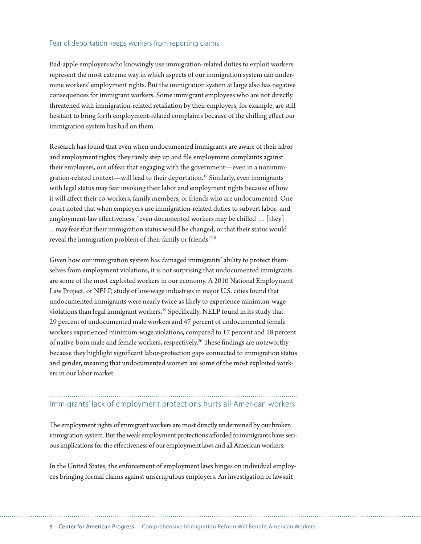#### Fear of deportation keeps workers from reporting claims

Bad-apple employers who knowingly use immigration-related duties to exploit workers represent the most extreme way in which aspects of our immigration system can undermine workers' employment rights. But the immigration system at large also has negative consequences for immigrant workers. Some immigrant employees who are not directly threatened with immigration-related retaliation by their employers, for example, are still hesitant to bring forth employment-related complaints because of the chilling effect our immigration system has had on them.

Research has found that even when undocumented immigrants are aware of their labor and employment rights, they rarely step up and file employment complaints against their employers, out of fear that engaging with the government—even in a nonimmigration-related context—will lead to their deportation.<sup>17</sup> Similarly, even immigrants with legal status may fear invoking their labor and employment rights because of how it will affect their co-workers, family members, or friends who are undocumented. One court noted that when employers use immigration-related duties to subvert labor- and employment-law effectiveness, "even documented workers may be chilled ... [they] ... may fear that their immigration status would be changed, or that their status would reveal the immigration problem of their family or friends."18

Given how our immigration system has damaged immigrants' ability to protect themselves from employment violations, it is not surprising that undocumented immigrants are some of the most exploited workers in our economy. A 2010 National Employment Law Project, or NELP, study of low-wage industries in major U.S. cities found that undocumented immigrants were nearly twice as likely to experience minimum-wage violations than legal immigrant workers.<sup>19</sup> Specifically, NELP found in its study that 29 percent of undocumented male workers and 47 percent of undocumented female workers experienced minimum-wage violations, compared to 17 percent and 18 percent of native-born male and female workers, respectively.20 These findings are noteworthy because they highlight significant labor-protection gaps connected to immigration status and gender, meaning that undocumented women are some of the most exploited workers in our labor market.

## Immigrants' lack of employment protections hurts all American workers

The employment rights of immigrant workers are most directly undermined by our broken immigration system. But the weak employment protections afforded to immigrants have serious implications for the effectiveness of our employment laws and all American workers.

In the United States, the enforcement of employment laws hinges on individual employees bringing formal claims against unscrupulous employers. An investigation or lawsuit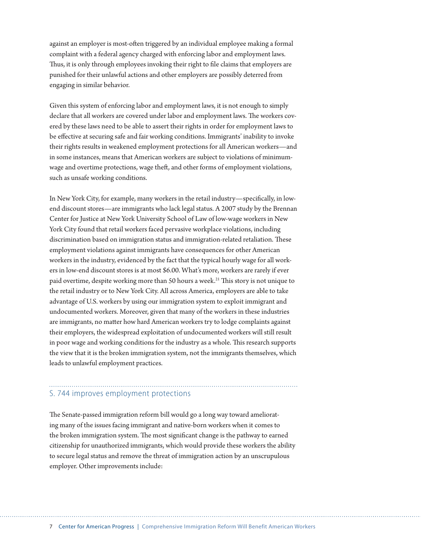against an employer is most-often triggered by an individual employee making a formal complaint with a federal agency charged with enforcing labor and employment laws. Thus, it is only through employees invoking their right to file claims that employers are punished for their unlawful actions and other employers are possibly deterred from engaging in similar behavior.

Given this system of enforcing labor and employment laws, it is not enough to simply declare that all workers are covered under labor and employment laws. The workers covered by these laws need to be able to assert their rights in order for employment laws to be effective at securing safe and fair working conditions. Immigrants' inability to invoke their rights results in weakened employment protections for all American workers—and in some instances, means that American workers are subject to violations of minimumwage and overtime protections, wage theft, and other forms of employment violations, such as unsafe working conditions.

In New York City, for example, many workers in the retail industry—specifically, in lowend discount stores—are immigrants who lack legal status. A 2007 study by the Brennan Center for Justice at New York University School of Law of low-wage workers in New York City found that retail workers faced pervasive workplace violations, including discrimination based on immigration status and immigration-related retaliation. These employment violations against immigrants have consequences for other American workers in the industry, evidenced by the fact that the typical hourly wage for all workers in low-end discount stores is at most \$6.00. What's more, workers are rarely if ever paid overtime, despite working more than 50 hours a week.<sup>21</sup> This story is not unique to the retail industry or to New York City. All across America, employers are able to take advantage of U.S. workers by using our immigration system to exploit immigrant and undocumented workers. Moreover, given that many of the workers in these industries are immigrants, no matter how hard American workers try to lodge complaints against their employers, the widespread exploitation of undocumented workers will still result in poor wage and working conditions for the industry as a whole. This research supports the view that it is the broken immigration system, not the immigrants themselves, which leads to unlawful employment practices.

## S. 744 improves employment protections

The Senate-passed immigration reform bill would go a long way toward ameliorating many of the issues facing immigrant and native-born workers when it comes to the broken immigration system. The most significant change is the pathway to earned citizenship for unauthorized immigrants, which would provide these workers the ability to secure legal status and remove the threat of immigration action by an unscrupulous employer. Other improvements include: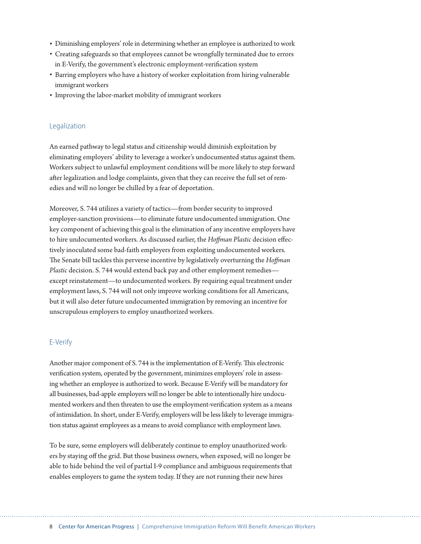- Diminishing employers' role in determining whether an employee is authorized to work
- Creating safeguards so that employees cannot be wrongfully terminated due to errors in E-Verify, the government's electronic employment-verification system
- Barring employers who have a history of worker exploitation from hiring vulnerable immigrant workers
- Improving the labor-market mobility of immigrant workers

#### Legalization

An earned pathway to legal status and citizenship would diminish exploitation by eliminating employers' ability to leverage a worker's undocumented status against them. Workers subject to unlawful employment conditions will be more likely to step forward after legalization and lodge complaints, given that they can receive the full set of remedies and will no longer be chilled by a fear of deportation.

Moreover, S. 744 utilizes a variety of tactics—from border security to improved employer-sanction provisions—to eliminate future undocumented immigration. One key component of achieving this goal is the elimination of any incentive employers have to hire undocumented workers. As discussed earlier, the *Hoffman Plastic* decision effectively inoculated some bad-faith employers from exploiting undocumented workers. The Senate bill tackles this perverse incentive by legislatively overturning the *Hoffman Plastic* decision. S. 744 would extend back pay and other employment remedies except reinstatement—to undocumented workers. By requiring equal treatment under employment laws, S. 744 will not only improve working conditions for all Americans, but it will also deter future undocumented immigration by removing an incentive for unscrupulous employers to employ unauthorized workers.

#### E-Verify

Another major component of S. 744 is the implementation of E-Verify. This electronic verification system, operated by the government, minimizes employers' role in assessing whether an employee is authorized to work. Because E-Verify will be mandatory for all businesses, bad-apple employers will no longer be able to intentionally hire undocumented workers and then threaten to use the employment-verification system as a means of intimidation. In short, under E-Verify, employers will be less likely to leverage immigration status against employees as a means to avoid compliance with employment laws.

To be sure, some employers will deliberately continue to employ unauthorized workers by staying off the grid. But those business owners, when exposed, will no longer be able to hide behind the veil of partial I-9 compliance and ambiguous requirements that enables employers to game the system today. If they are not running their new hires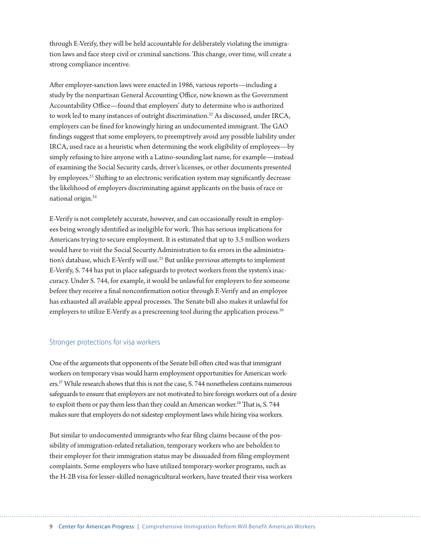through E-Verify, they will be held accountable for deliberately violating the immigration laws and face steep civil or criminal sanctions. This change, over time, will create a strong compliance incentive.

After employer-sanction laws were enacted in 1986, various reports—including a study by the nonpartisan General Accounting Office, now known as the Government Accountability Office—found that employers' duty to determine who is authorized to work led to many instances of outright discrimination.<sup>22</sup> As discussed, under IRCA, employers can be fined for knowingly hiring an undocumented immigrant. The GAO findings suggest that some employers, to preemptively avoid any possible liability under IRCA, used race as a heuristic when determining the work eligibility of employees—by simply refusing to hire anyone with a Latino-sounding last name, for example—instead of examining the Social Security cards, driver's licenses, or other documents presented by employees.<sup>23</sup> Shifting to an electronic verification system may significantly decrease the likelihood of employers discriminating against applicants on the basis of race or national origin.24

E-Verify is not completely accurate, however, and can occasionally result in employees being wrongly identified as ineligible for work. This has serious implications for Americans trying to secure employment. It is estimated that up to 3.5 million workers would have to visit the Social Security Administration to fix errors in the administration's database, which E-Verify will use.<sup>25</sup> But unlike previous attempts to implement E-Verify, S. 744 has put in place safeguards to protect workers from the system's inaccuracy. Under S. 744, for example, it would be unlawful for employers to fire someone before they receive a final nonconfirmation notice through E-Verify and an employee has exhausted all available appeal processes. The Senate bill also makes it unlawful for employers to utilize E-Verify as a prescreening tool during the application process.<sup>26</sup>

#### Stronger protections for visa workers

One of the arguments that opponents of the Senate bill often cited was that immigrant workers on temporary visas would harm employment opportunities for American workers.27 While research shows that this is not the case, S. 744 nonetheless contains numerous safeguards to ensure that employers are not motivated to hire foreign workers out of a desire to exploit them or pay them less than they could an American worker.<sup>28</sup> That is, S. 744 makes sure that employers do not sidestep employment laws while hiring visa workers.

But similar to undocumented immigrants who fear filing claims because of the possibility of immigration-related retaliation, temporary workers who are beholden to their employer for their immigration status may be dissuaded from filing employment complaints. Some employers who have utilized temporary-worker programs, such as the H-2B visa for lesser-skilled nonagricultural workers, have treated their visa workers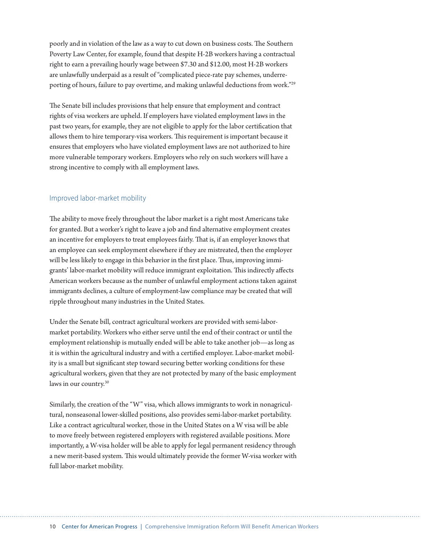poorly and in violation of the law as a way to cut down on business costs. The Southern Poverty Law Center, for example, found that despite H-2B workers having a contractual right to earn a prevailing hourly wage between \$7.30 and \$12.00, most H-2B workers are unlawfully underpaid as a result of "complicated piece-rate pay schemes, underreporting of hours, failure to pay overtime, and making unlawful deductions from work."29

The Senate bill includes provisions that help ensure that employment and contract rights of visa workers are upheld. If employers have violated employment laws in the past two years, for example, they are not eligible to apply for the labor certification that allows them to hire temporary-visa workers. This requirement is important because it ensures that employers who have violated employment laws are not authorized to hire more vulnerable temporary workers. Employers who rely on such workers will have a strong incentive to comply with all employment laws.

#### Improved labor-market mobility

The ability to move freely throughout the labor market is a right most Americans take for granted. But a worker's right to leave a job and find alternative employment creates an incentive for employers to treat employees fairly. That is, if an employer knows that an employee can seek employment elsewhere if they are mistreated, then the employer will be less likely to engage in this behavior in the first place. Thus, improving immigrants' labor-market mobility will reduce immigrant exploitation. This indirectly affects American workers because as the number of unlawful employment actions taken against immigrants declines, a culture of employment-law compliance may be created that will ripple throughout many industries in the United States.

Under the Senate bill, contract agricultural workers are provided with semi-labormarket portability. Workers who either serve until the end of their contract or until the employment relationship is mutually ended will be able to take another job—as long as it is within the agricultural industry and with a certified employer. Labor-market mobility is a small but significant step toward securing better working conditions for these agricultural workers, given that they are not protected by many of the basic employment laws in our country.30

Similarly, the creation of the "W" visa, which allows immigrants to work in nonagricultural, nonseasonal lower-skilled positions, also provides semi-labor-market portability. Like a contract agricultural worker, those in the United States on a W visa will be able to move freely between registered employers with registered available positions. More importantly, a W-visa holder will be able to apply for legal permanent residency through a new merit-based system. This would ultimately provide the former W-visa worker with full labor-market mobility.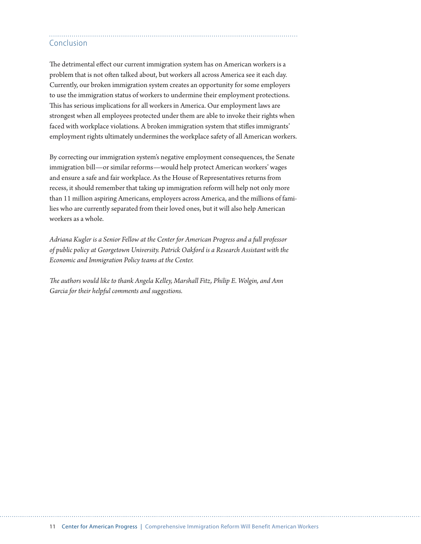### Conclusion

The detrimental effect our current immigration system has on American workers is a problem that is not often talked about, but workers all across America see it each day. Currently, our broken immigration system creates an opportunity for some employers to use the immigration status of workers to undermine their employment protections. This has serious implications for all workers in America. Our employment laws are strongest when all employees protected under them are able to invoke their rights when faced with workplace violations. A broken immigration system that stifles immigrants' employment rights ultimately undermines the workplace safety of all American workers.

By correcting our immigration system's negative employment consequences, the Senate immigration bill—or similar reforms—would help protect American workers' wages and ensure a safe and fair workplace. As the House of Representatives returns from recess, it should remember that taking up immigration reform will help not only more than 11 million aspiring Americans, employers across America, and the millions of families who are currently separated from their loved ones, but it will also help American workers as a whole.

*Adriana Kugler is a Senior Fellow at the Center for American Progress and a full professor of public policy at Georgetown University. Patrick Oakford is a Research Assistant with the Economic and Immigration Policy teams at the Center.* 

*The authors would like to thank Angela Kelley, Marshall Fitz, Philip E. Wolgin, and Ann Garcia for their helpful comments and suggestions.*